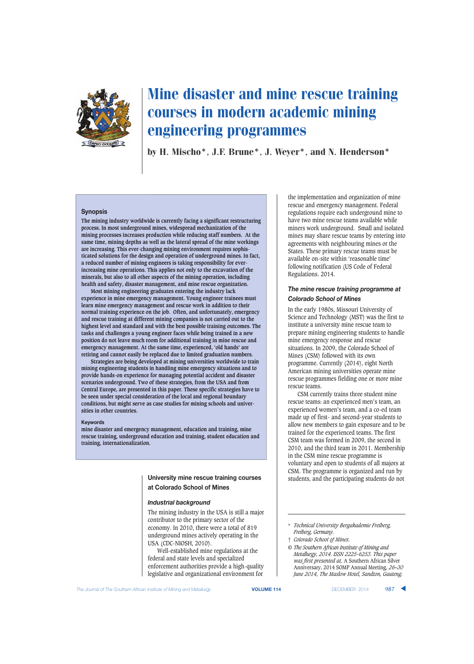

by H. Mischo\*, J.F. Brune\*, J. Weyer\*, and N. Henderson\*

#### **Synopsis**

**The mining industry worldwide is currently facing a significant restructuring process. In most underground mines, widespread mechanization of the mining processes increases production while reducing staff numbers. At the same time, mining depths as well as the lateral spread of the mine workings are increasing. This ever-changing mining environment requires sophisticated solutions for the design and operation of underground mines. In fact, a reduced number of mining engineers is taking responsibility for everincreasing mine operations. This applies not only to the excavation of the minerals, but also to all other aspects of the mining operation, including health and safety, disaster management, and mine rescue organization.**

**Most mining engineering graduates entering the industry lack experience in mine emergency management. Young engineer trainees must learn mine emergency management and rescue work in addition to their normal training experience on the job. Often, and unfortunately, emergency and rescue training at different mining companies is not carried out to the highest level and standard and with the best possible training outcomes. The tasks and challenges a young engineer faces while being trained in a new position do not leave much room for additional training in mine rescue and emergency management. At the same time, experienced, 'old hands' are retiring and cannot easily be replaced due to limited graduation numbers.**

**Strategies are being developed at mining universities worldwide to train mining engineering students in handling mine emergency situations and to provide hands-on experience for managing potential accident and disaster scenarios underground. Two of these strategies, from the USA and from Central Europe, are presented in this paper. These specific strategies have to be seen under special consideration of the local and regional boundary conditions, but might serve as case studies for mining schools and universities in other countries.**

#### **Keywords**

**mine disaster and emergency management, education and training, mine rescue training, underground education and training, student education and training, internationalization.**

## **University mine rescue training courses at Colorado School of Mines**

#### *Industrial background*

The mining industry in the USA is still a major contributor to the primary sector of the economy. In 2010, there were a total of 819 underground mines actively operating in the USA (CDC-NIOSH, 2010).

Well-established mine regulations at the federal and state levels and specialized enforcement authorities provide a high-quality legislative and organizational environment for

the implementation and organization of mine rescue and emergency management. Federal regulations require each underground mine to have two mine rescue teams available while miners work underground. Small and isolated mines may share rescue teams by entering into agreements with neighbouring mines or the States. These primary rescue teams must be available on-site within 'reasonable time' following notification (US Code of Federal Regulations. 2014.

## *The mine rescue training programme at Colorado School of Mines*

In the early 1980s, Missouri University of Science and Technology (MST) was the first to institute a university mine rescue team to prepare mining engineering students to handle mine emergency response and rescue situations. In 2009, the Colorado School of Mines (CSM) followed with its own programme. Currently (2014), eight North American mining universities operate mine rescue programmes fielding one or more mine rescue teams.

CSM currently trains three student mine rescue teams: an experienced men's team, an experienced women's team, and a co-ed team made up of first- and second-year students to allow new members to gain exposure and to be trained for the experienced teams. The first CSM team was formed in 2009, the second in 2010, and the third team in 2011. Membership in the CSM mine rescue programme is voluntary and open to students of all majors at CSM. The programme is organized and run by students, and the participating students do not

† *Colorado School of Mines.*

<sup>\*</sup> *Technical University Bergakademie Freiberg, Freiberg, Germany.*

*<sup>©</sup> The Southern African Institute of Mining and Metallurgy, 2014. ISSN 2225-6253. This paper was first presented at,* A Southern African Silver Anniversary, 2014 SOMP Annual Meeting*, 26–30 June 2014, The Maslow Hotel, Sandton, Gauteng.*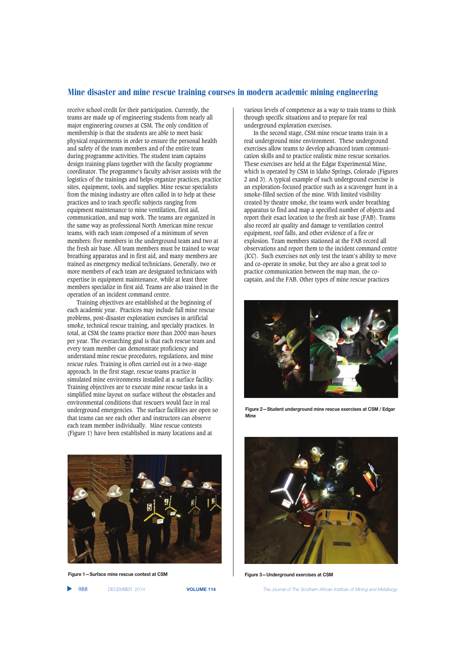receive school credit for their participation. Currently, the teams are made up of engineering students from nearly all major engineering courses at CSM. The only condition of membership is that the students are able to meet basic physical requirements in order to ensure the personal health and safety of the team members and of the entire team during programme activities. The student team captains design training plans together with the faculty programme coordinator. The programme's faculty advisor assists with the logistics of the trainings and helps organize practices, practice sites, equipment, tools, and supplies. Mine rescue specialists from the mining industry are often called in to help at these practices and to teach specific subjects ranging from equipment maintenance to mine ventilation, first aid, communication, and map work. The teams are organized in the same way as professional North American mine rescue teams, with each team composed of a minimum of seven members: five members in the underground team and two at the fresh air base. All team members must be trained to wear breathing apparatus and in first aid, and many members are trained as emergency medical technicians. Generally, two or more members of each team are designated technicians with expertise in equipment maintenance, while at least three members specialize in first aid. Teams are also trained in the operation of an incident command centre.

Training objectives are established at the beginning of each academic year. Practices may include full mine rescue problems, post-disaster exploration exercises in artificial smoke, technical rescue training, and specialty practices. In total, at CSM the teams practice more than 2000 man-hours per year. The overarching goal is that each rescue team and every team member can demonstrate proficiency and understand mine rescue procedures, regulations, and mine rescue rules. Training is often carried out in a two-stage approach. In the first stage, rescue teams practice in simulated mine environments installed at a surface facility. Training objectives are to execute mine rescue tasks in a simplified mine layout on surface without the obstacles and environmental conditions that rescuers would face in real underground emergencies. The surface facilities are open so that teams can see each other and instructors can observe each team member individually. Mine rescue contests (Figure 1) have been established in many locations and at



**Figure 1—Surface mine rescue contest at CSM**

▲

various levels of competence as a way to train teams to think through specific situations and to prepare for real underground exploration exercises.

In the second stage, CSM mine rescue teams train in a real underground mine environment. These underground exercises allow teams to develop advanced team communication skills and to practice realistic mine rescue scenarios. These exercises are held at the Edgar Experimental Mine, which is operated by CSM in Idaho Springs, Colorado (Figures 2 and 3). A typical example of such underground exercise is an exploration-focused practice such as a scavenger hunt in a smoke-filled section of the mine. With limited visibility created by theatre smoke, the teams work under breathing apparatus to find and map a specified number of objects and report their exact location to the fresh air base (FAB). Teams also record air quality and damage to ventilation control equipment, roof falls, and other evidence of a fire or explosion. Team members stationed at the FAB record all observations and report them to the incident command centre (ICC). Such exercises not only test the team's ability to move and co-operate in smoke, but they are also a great tool to practice communication between the map man, the cocaptain, and the FAB. Other types of mine rescue practices



**Figure 2—Student underground mine rescue exercises at CSM / Edgar Mine**



**Figure 3—Underground exercises at CSM**

988 DECEMBER 2014 **VOLUME 114** *The Journal of The Southern African Institute of Mining and Metallurgy*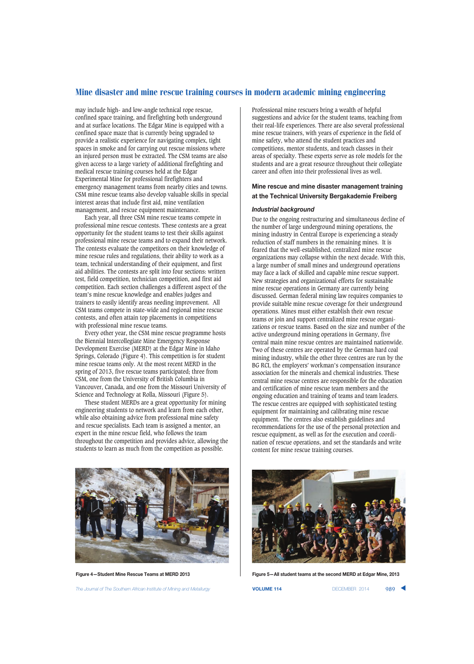may include high- and low-angle technical rope rescue, confined space training, and firefighting both underground and at surface locations. The Edgar Mine is equipped with a confined space maze that is currently being upgraded to provide a realistic experience for navigating complex, tight spaces in smoke and for carrying out rescue missions where an injured person must be extracted. The CSM teams are also given access to a large variety of additional firefighting and medical rescue training courses held at the Edgar Experimental Mine for professional firefighters and emergency management teams from nearby cities and towns. CSM mine rescue teams also develop valuable skills in special interest areas that include first aid, mine ventilation management, and rescue equipment maintenance.

Each year, all three CSM mine rescue teams compete in professional mine rescue contests. These contests are a great opportunity for the student teams to test their skills against professional mine rescue teams and to expand their network. The contests evaluate the competitors on their knowledge of mine rescue rules and regulations, their ability to work as a team, technical understanding of their equipment, and first aid abilities. The contests are split into four sections: written test, field competition, technician competition, and first aid competition. Each section challenges a different aspect of the team's mine rescue knowledge and enables judges and trainers to easily identify areas needing improvement. All CSM teams compete in state-wide and regional mine rescue contests, and often attain top placements in competitions with professional mine rescue teams.

Every other year, the CSM mine rescue programme hosts the Biennial Intercollegiate Mine Emergency Response Development Exercise (MERD) at the Edgar Mine in Idaho Springs, Colorado (Figure 4). This competition is for student mine rescue teams only. At the most recent MERD in the spring of 2013, five rescue teams participated; three from CSM, one from the University of British Columbia in Vancouver, Canada, and one from the Missouri University of Science and Technology at Rolla, Missouri (Figure 5).

These student MERDs are a great opportunity for mining engineering students to network and learn from each other, while also obtaining advice from professional mine safety and rescue specialists. Each team is assigned a mentor, an expert in the mine rescue field, who follows the team throughout the competition and provides advice, allowing the students to learn as much from the competition as possible.



*The Journal of The Southern African Institute of Mining and Metallurgy* **VOLUME 114** DECEMBER 2014 989 ▲

Professional mine rescuers bring a wealth of helpful suggestions and advice for the student teams, teaching from their real-life experiences. There are also several professional mine rescue trainers, with years of experience in the field of mine safety, who attend the student practices and competitions, mentor students, and teach classes in their areas of specialty. These experts serve as role models for the students and are a great resource throughout their collegiate career and often into their professional lives as well.

## **Mine rescue and mine disaster management training at the Technical University Bergakademie Freiberg**

#### *Industrial background*

Due to the ongoing restructuring and simultaneous decline of the number of large underground mining operations, the mining industry in Central Europe is experiencing a steady reduction of staff numbers in the remaining mines. It is feared that the well-established, centralized mine rescue organizations may collapse within the next decade. With this, a large number of small mines and underground operations may face a lack of skilled and capable mine rescue support. New strategies and organizational efforts for sustainable mine rescue operations in Germany are currently being discussed. German federal mining law requires companies to provide suitable mine rescue coverage for their underground operations. Mines must either establish their own rescue teams or join and support centralized mine rescue organizations or rescue teams. Based on the size and number of the active underground mining operations in Germany, five central main mine rescue centres are maintained nationwide. Two of these centres are operated by the German hard coal mining industry, while the other three centres are run by the BG RCI, the employers' workman's compensation insurance association for the minerals and chemical industries. These central mine rescue centres are responsible for the education and certification of mine rescue team members and the ongoing education and training of teams and team leaders. The rescue centres are equipped with sophisticated testing equipment for maintaining and calibrating mine rescue equipment. The centres also establish guidelines and recommendations for the use of the personal protection and rescue equipment, as well as for the execution and coordination of rescue operations, and set the standards and write content for mine rescue training courses.



**Figure 4—Student Mine Rescue Teams at MERD 2013 Figure 5—All student teams at the second MERD at Edgar Mine, 2013**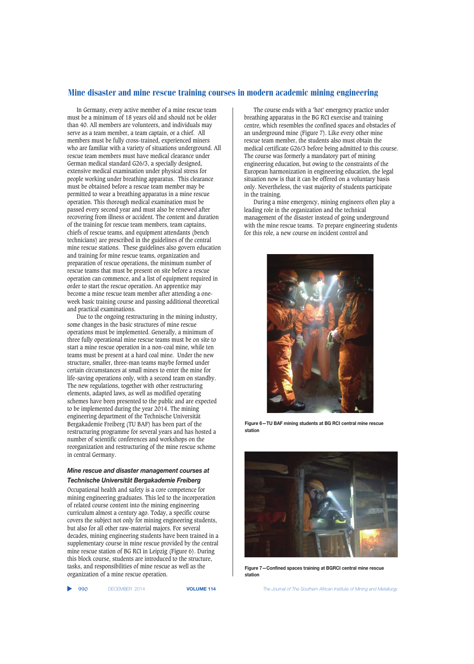In Germany, every active member of a mine rescue team must be a minimum of 18 years old and should not be older than 40. All members are volunteers, and individuals may serve as a team member, a team captain, or a chief. All members must be fully cross-trained, experienced miners who are familiar with a variety of situations underground. All rescue team members must have medical clearance under German medical standard G26/3, a specially designed, extensive medical examination under physical stress for people working under breathing apparatus. This clearance must be obtained before a rescue team member may be permitted to wear a breathing apparatus in a mine rescue operation. This thorough medical examination must be passed every second year and must also be renewed after recovering from illness or accident. The content and duration of the training for rescue team members, team captains, chiefs of rescue teams, and equipment attendants (bench technicians) are prescribed in the guidelines of the central mine rescue stations. These guidelines also govern education and training for mine rescue teams, organization and preparation of rescue operations, the minimum number of rescue teams that must be present on site before a rescue operation can commence, and a list of equipment required in order to start the rescue operation. An apprentice may become a mine rescue team member after attending a oneweek basic training course and passing additional theoretical and practical examinations.

Due to the ongoing restructuring in the mining industry, some changes in the basic structures of mine rescue operations must be implemented. Generally, a minimum of three fully operational mine rescue teams must be on site to start a mine rescue operation in a non-coal mine, while ten teams must be present at a hard coal mine. Under the new structure, smaller, three-man teams maybe formed under certain circumstances at small mines to enter the mine for life-saving operations only, with a second team on standby. The new regulations, together with other restructuring elements, adapted laws, as well as modified operating schemes have been presented to the public and are expected to be implemented during the year 2014. The mining engineering department of the Technische Universität Bergakademie Freiberg (TU BAF) has been part of the restructuring programme for several years and has hosted a number of scientific conferences and workshops on the reorganization and restructuring of the mine rescue scheme in central Germany.

## *Mine rescue and disaster management courses at Technische Universität Bergakademie Freiberg*

Occupational health and safety is a core competence for mining engineering graduates. This led to the incorporation of related course content into the mining engineering curriculum almost a century ago. Today, a specific course covers the subject not only for mining engineering students, but also for all other raw-material majors. For several decades, mining engineering students have been trained in a supplementary course in mine rescue provided by the central mine rescue station of BG RCI in Leipzig (Figure 6). During this block course, students are introduced to the structure, tasks, and responsibilities of mine rescue as well as the organization of a mine rescue operation.

▲

The course ends with a 'hot' emergency practice under breathing apparatus in the BG RCI exercise and training centre, which resembles the confined spaces and obstacles of an underground mine (Figure 7). Like every other mine rescue team member, the students also must obtain the medical certificate G26/3 before being admitted to this course. The course was formerly a mandatory part of mining engineering education, but owing to the constraints of the European harmonization in engineering education, the legal situation now is that it can be offered on a voluntary basis only. Nevertheless, the vast majority of students participate in the training.

During a mine emergency, mining engineers often play a leading role in the organization and the technical management of the disaster instead of going underground with the mine rescue teams. To prepare engineering students for this role, a new course on incident control and



**Figure 6—TU BAF mining students at BG RCI central mine rescue station**



**Figure 7—Confined spaces training at BGRCI central mine rescue station**

990 DECEMBER 2014 **VOLUME 114** *The Journal of The Southern African Institute of Mining and Metallurgy*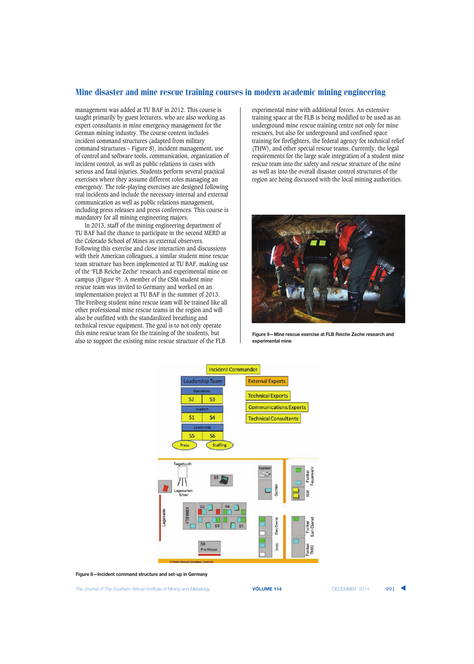management was added at TU BAF in 2012. This course is taught primarily by guest lecturers, who are also working as expert consultants in mine emergency management for the German mining industry. The course content includes incident command structures (adapted from military command structures – Figure 8), incident management, use of control and software tools, communication, organization of incident control, as well as public relations in cases with serious and fatal injuries. Students perform several practical exercises where they assume different roles managing an emergency. The role-playing exercises are designed following real incidents and include the necessary internal and external communication as well as public relations management, including press releases and press conferences. This course is mandatory for all mining engineering majors.

In 2013, staff of the mining engineering department of TU BAF had the chance to participate in the second MERD at the Colorado School of Mines as external observers. Following this exercise and close interaction and discussions with their American colleagues, a similar student mine rescue team structure has been implemented at TU BAF, making use of the 'FLB Reiche Zeche' research and experimental mine on campus (Figure 9). A member of the CSM student mine rescue team was invited to Germany and worked on an implementation project at TU BAF in the summer of 2013. The Freiberg student mine rescue team will be trained like all other professional mine rescue teams in the region and will also be outfitted with the standardized breathing and technical rescue equipment. The goal is to not only operate this mine rescue team for the training of the students, but also to support the existing mine rescue structure of the FLB

experimental mine with additional forces. An extensive training space at the FLB is being modified to be used as an underground mine rescue training centre not only for mine rescuers, but also for underground and confined space training for firefighters, the federal agency for technical relief (THW), and other special rescue teams. Currently, the legal requirements for the large scale integration of a student mine rescue team into the safety and rescue structure of the mine as well as into the overall disaster control structures of the region are being discussed with the local mining authorities.



**Figure 9—Mine rescue exercise at FLB Reiche Zeche research and experimental mine**



**Figure 8—Incident command structure and set-up in Germany**

**The Journal of The Southern African Institute of Mining and Metallurgy <b>VOLUME 114 VOLUME 114 DECEMBER 2014** 991